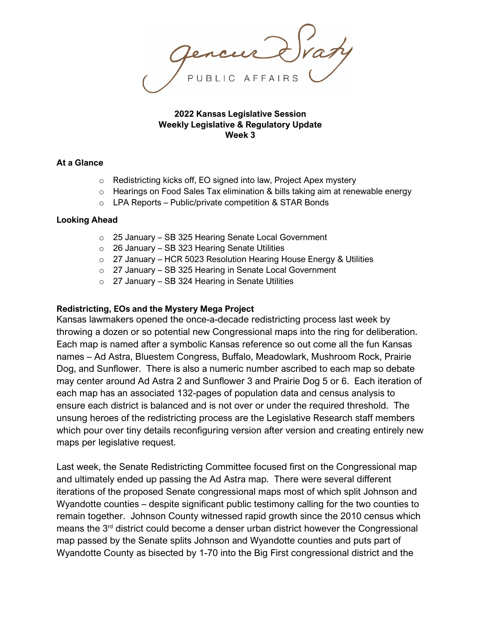**2022 Kansas Legislative Session Weekly Legislative & Regulatory Update Week 3**

## **At a Glance**

- o Redistricting kicks off, EO signed into law, Project Apex mystery
- $\circ$  Hearings on Food Sales Tax elimination & bills taking aim at renewable energy
- $\circ$  LPA Reports Public/private competition & STAR Bonds

## **Looking Ahead**

- o 25 January SB 325 Hearing Senate Local Government
- $\circ$  26 January SB 323 Hearing Senate Utilities
- $\circ$  27 January HCR 5023 Resolution Hearing House Energy & Utilities
- o 27 January SB 325 Hearing in Senate Local Government
- $\circ$  27 January SB 324 Hearing in Senate Utilities

## **Redistricting, EOs and the Mystery Mega Project**

Kansas lawmakers opened the once-a-decade redistricting process last week by throwing a dozen or so potential new Congressional maps into the ring for deliberation. Each map is named after a symbolic Kansas reference so out come all the fun Kansas names – Ad Astra, Bluestem Congress, Buffalo, Meadowlark, Mushroom Rock, Prairie Dog, and Sunflower. There is also a numeric number ascribed to each map so debate may center around Ad Astra 2 and Sunflower 3 and Prairie Dog 5 or 6. Each iteration of each map has an associated 132-pages of population data and census analysis to ensure each district is balanced and is not over or under the required threshold. The unsung heroes of the redistricting process are the Legislative Research staff members which pour over tiny details reconfiguring version after version and creating entirely new maps per legislative request.

Last week, the Senate Redistricting Committee focused first on the Congressional map and ultimately ended up passing the Ad Astra map. There were several different iterations of the proposed Senate congressional maps most of which split Johnson and Wyandotte counties – despite significant public testimony calling for the two counties to remain together. Johnson County witnessed rapid growth since the 2010 census which means the 3rd district could become a denser urban district however the Congressional map passed by the Senate splits Johnson and Wyandotte counties and puts part of Wyandotte County as bisected by 1-70 into the Big First congressional district and the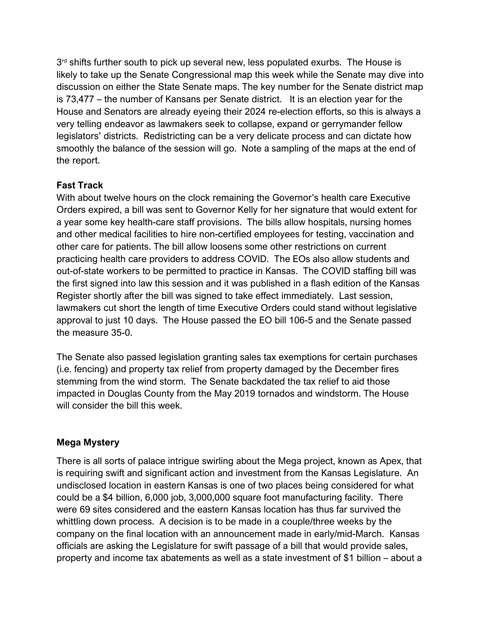$3<sup>rd</sup>$  shifts further south to pick up several new, less populated exurbs. The House is likely to take up the Senate Congressional map this week while the Senate may dive into discussion on either the State Senate maps. The key number for the Senate district map is 73,477 – the number of Kansans per Senate district. It is an election year for the House and Senators are already eyeing their 2024 re-election efforts, so this is always a very telling endeavor as lawmakers seek to collapse, expand or gerrymander fellow legislators' districts. Redistricting can be a very delicate process and can dictate how smoothly the balance of the session will go. Note a sampling of the maps at the end of the report.

# **Fast Track**

With about twelve hours on the clock remaining the Governor's health care Executive Orders expired, a bill was sent to Governor Kelly for her signature that would extent for a year some key health-care staff provisions. The bills allow hospitals, nursing homes and other medical facilities to hire non-certified employees for testing, vaccination and other care for patients. The bill allow loosens some other restrictions on current practicing health care providers to address COVID. The EOs also allow students and out-of-state workers to be permitted to practice in Kansas. The COVID staffing bill was the first signed into law this session and it was published in a flash edition of the Kansas Register shortly after the bill was signed to take effect immediately. Last session, lawmakers cut short the length of time Executive Orders could stand without legislative approval to just 10 days. The House passed the EO bill 106-5 and the Senate passed the measure 35-0.

The Senate also passed legislation granting sales tax exemptions for certain purchases (i.e. fencing) and property tax relief from property damaged by the December fires stemming from the wind storm. The Senate backdated the tax relief to aid those impacted in Douglas County from the May 2019 tornados and windstorm. The House will consider the bill this week.

# **Mega Mystery**

There is all sorts of palace intrigue swirling about the Mega project, known as Apex, that is requiring swift and significant action and investment from the Kansas Legislature. An undisclosed location in eastern Kansas is one of two places being considered for what could be a \$4 billion, 6,000 job, 3,000,000 square foot manufacturing facility. There were 69 sites considered and the eastern Kansas location has thus far survived the whittling down process. A decision is to be made in a couple/three weeks by the company on the final location with an announcement made in early/mid-March. Kansas officials are asking the Legislature for swift passage of a bill that would provide sales, property and income tax abatements as well as a state investment of \$1 billion – about a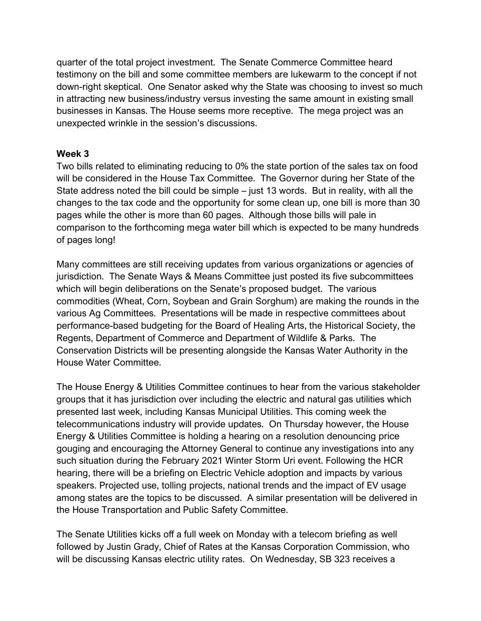quarter of the total project investment. The Senate Commerce Committee heard testimony on the bill and some committee members are lukewarm to the concept if not down-right skeptical. One Senator asked why the State was choosing to invest so much in attracting new business/industry versus investing the same amount in existing small businesses in Kansas. The House seems more receptive. The mega project was an unexpected wrinkle in the session's discussions.

## **Week 3**

Two bills related to eliminating reducing to 0% the state portion of the sales tax on food will be considered in the House Tax Committee. The Governor during her State of the State address noted the bill could be simple – just 13 words. But in reality, with all the changes to the tax code and the opportunity for some clean up, one bill is more than 30 pages while the other is more than 60 pages. Although those bills will pale in comparison to the forthcoming mega water bill which is expected to be many hundreds of pages long!

Many committees are still receiving updates from various organizations or agencies of jurisdiction. The Senate Ways & Means Committee just posted its five subcommittees which will begin deliberations on the Senate's proposed budget. The various commodities (Wheat, Corn, Soybean and Grain Sorghum) are making the rounds in the various Ag Committees. Presentations will be made in respective committees about performance-based budgeting for the Board of Healing Arts, the Historical Society, the Regents, Department of Commerce and Department of Wildlife & Parks. The Conservation Districts will be presenting alongside the Kansas Water Authority in the House Water Committee.

The House Energy & Utilities Committee continues to hear from the various stakeholder groups that it has jurisdiction over including the electric and natural gas utilities which presented last week, including Kansas Municipal Utilities. This coming week the telecommunications industry will provide updates. On Thursday however, the House Energy & Utilities Committee is holding a hearing on a resolution denouncing price gouging and encouraging the Attorney General to continue any investigations into any such situation during the February 2021 Winter Storm Uri event. Following the HCR hearing, there will be a briefing on Electric Vehicle adoption and impacts by various speakers. Projected use, tolling projects, national trends and the impact of EV usage among states are the topics to be discussed. A similar presentation will be delivered in the House Transportation and Public Safety Committee.

The Senate Utilities kicks off a full week on Monday with a telecom briefing as well followed by Justin Grady, Chief of Rates at the Kansas Corporation Commission, who will be discussing Kansas electric utility rates. On Wednesday, SB 323 receives a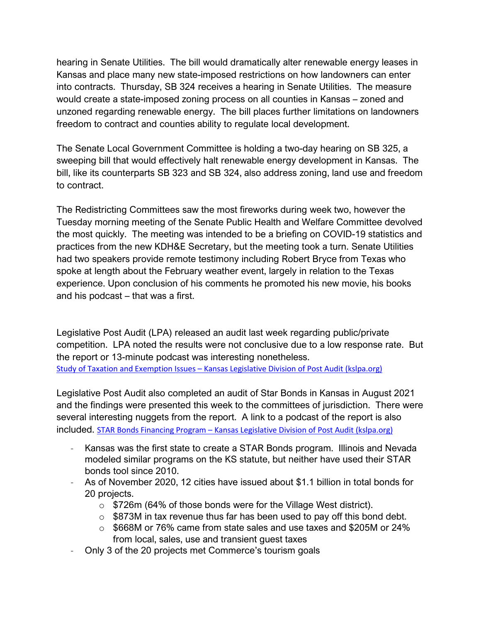hearing in Senate Utilities. The bill would dramatically alter renewable energy leases in Kansas and place many new state-imposed restrictions on how landowners can enter into contracts. Thursday, SB 324 receives a hearing in Senate Utilities. The measure would create a state-imposed zoning process on all counties in Kansas – zoned and unzoned regarding renewable energy. The bill places further limitations on landowners freedom to contract and counties ability to regulate local development.

The Senate Local Government Committee is holding a two-day hearing on SB 325, a sweeping bill that would effectively halt renewable energy development in Kansas. The bill, like its counterparts SB 323 and SB 324, also address zoning, land use and freedom to contract.

The Redistricting Committees saw the most fireworks during week two, however the Tuesday morning meeting of the Senate Public Health and Welfare Committee devolved the most quickly. The meeting was intended to be a briefing on COVID-19 statistics and practices from the new KDH&E Secretary, but the meeting took a turn. Senate Utilities had two speakers provide remote testimony including Robert Bryce from Texas who spoke at length about the February weather event, largely in relation to the Texas experience. Upon conclusion of his comments he promoted his new movie, his books and his podcast – that was a first.

Legislative Post Audit (LPA) released an audit last week regarding public/private competition. LPA noted the results were not conclusive due to a low response rate. But the report or 13-minute podcast was interesting nonetheless. Study of Taxation and Exemption Issues – [Kansas Legislative Division of Post Audit \(kslpa.org\)](https://www.kslpa.org/audit-report-library/study-of-taxation-and-exemption-issues/)

Legislative Post Audit also completed an audit of Star Bonds in Kansas in August 2021 and the findings were presented this week to the committees of jurisdiction. There were several interesting nuggets from the report. A link to a podcast of the report is also included. STAR Bonds Financing Program – [Kansas Legislative Division of Post Audit \(kslpa.org\)](https://www.kslpa.org/audit-report-library/star-bonds-financing-program/)

- Kansas was the first state to create a STAR Bonds program. Illinois and Nevada modeled similar programs on the KS statute, but neither have used their STAR bonds tool since 2010.
- As of November 2020, 12 cities have issued about \$1.1 billion in total bonds for 20 projects.
	- o \$726m (64% of those bonds were for the Village West district).
	- $\circ$  \$873M in tax revenue thus far has been used to pay off this bond debt.
	- $\circ$  \$668M or 76% came from state sales and use taxes and \$205M or 24% from local, sales, use and transient guest taxes
- Only 3 of the 20 projects met Commerce's tourism goals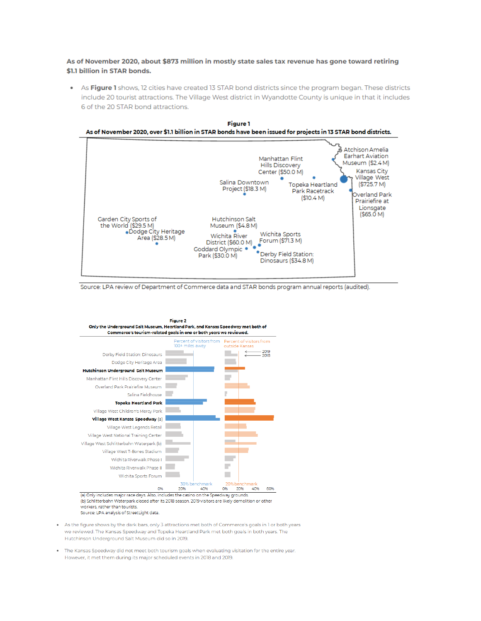As of November 2020, about \$873 million in mostly state sales tax revenue has gone toward retiring \$1.1 billion in STAR bonds.

As Figure 1 shows, 12 cities have created 13 STAR bond districts since the program began. These districts  $\bullet$ include 20 tourist attractions. The Village West district in Wyandotte County is unique in that it includes 6 of the 20 STAR bond attractions.



Source: LPA review of Department of Commerce data and STAR bonds program annual reports (audited).



- . As the figure shows by the dark bars, only 3 attractions met both of Commerce's goals in 1 or both years we reviewed. The Kansas Speedway and Topeka Heartland Park met both goals in both years. The Hutchinson Underground Salt Museum did so in 2019.
- . The Kansas Speedway did not meet both tourism goals when evaluating visitation for the entire year. However, it met them during its major scheduled events in 2018 and 2019.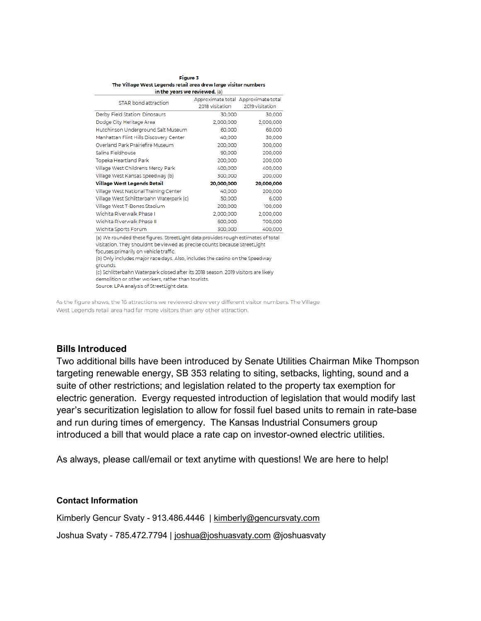| <b>Figure 3</b>                                                 |
|-----------------------------------------------------------------|
| The Village West Legends retail area drew large visitor numbers |
| in the vears we reviewed. (a)                                   |

| $m$ are yours we reviewed, $m$                                                   |                 |                                                        |  |
|----------------------------------------------------------------------------------|-----------------|--------------------------------------------------------|--|
| STAR bond attraction                                                             | 2018 visitation | Approximate total Approximate total<br>2019 visitation |  |
| Derby Field Station: Dinosaurs                                                   | 30,000          | 30,000                                                 |  |
| Dodge City Heritage Area                                                         | 2,000,000       | 2,000,000                                              |  |
| Hutchinson Underground Salt Museum                                               | 60,000          | 60,000                                                 |  |
| Manhattan Flint Hills Discovery Center                                           | 40,000          | 30,000                                                 |  |
| Overland Park Prairiefire Museum                                                 | 200,000         | 300,000                                                |  |
| Salina Fieldhouse                                                                | 90,000          | 200,000                                                |  |
| Topeka Heartland Park                                                            | 200,000         | 200,000                                                |  |
| Village West Children's Mercy Park                                               | 400,000         | 400,000                                                |  |
| Village West Kansas Speedway (b)                                                 | 300,000         | 200,000                                                |  |
| Village West Legends Retail                                                      | 20,000,000      | 20,000,000                                             |  |
| Village West National Training Center                                            | 40,000          | 200,000                                                |  |
| Village West Schlitterbahn Waterpark (c)                                         | 50,000          | 6,000                                                  |  |
| Village West T-Bones Stadium                                                     | 200,000         | 100,000                                                |  |
| Wichita Riverwalk Phase I                                                        | 2,000,000       | 2,000,000                                              |  |
| Wichita Riverwalk Phase II                                                       | 600,000         | 700,000                                                |  |
| Wichita Sports Forum                                                             | 300,000         | 400,000                                                |  |
| la) We rounded these figures. StreetLight data provides rough estimates of total |                 |                                                        |  |

nded these figures. StreetLight data provides rough estimates of tota visitation. They shouldn't be viewed as precise counts because StreetLight

focuses primarily on vehicle traffic.

(b) Only includes major race days. Also, includes the casino on the Speedway grounds.

(c) Schlitterbahn Waterpark closed after its 2018 season. 2019 visitors are likely demolition or other workers, rather than tourists.

Source: LPA analysis of StreetLight data.

As the figure shows, the 16 attractions we reviewed drew very different visitor numbers. The Village West Legends retail area had far more visitors than any other attraction.

## **Bills Introduced**

Two additional bills have been introduced by Senate Utilities Chairman Mike Thompson targeting renewable energy, SB 353 relating to siting, setbacks, lighting, sound and a suite of other restrictions; and legislation related to the property tax exemption for electric generation. Evergy requested introduction of legislation that would modify last year's securitization legislation to allow for fossil fuel based units to remain in rate-base and run during times of emergency. The Kansas Industrial Consumers group introduced a bill that would place a rate cap on investor-owned electric utilities.

As always, please call/email or text anytime with questions! We are here to help!

## **Contact Information**

Kimberly Gencur Svaty - 913.486.4446 | [kimberly@gencursvaty.com](mailto:kimberly@gencursvaty.com)

Joshua Svaty - 785.472.7794 | [joshua@joshuasvaty.com](mailto:joshua@joshuasvaty.com) @joshuasvaty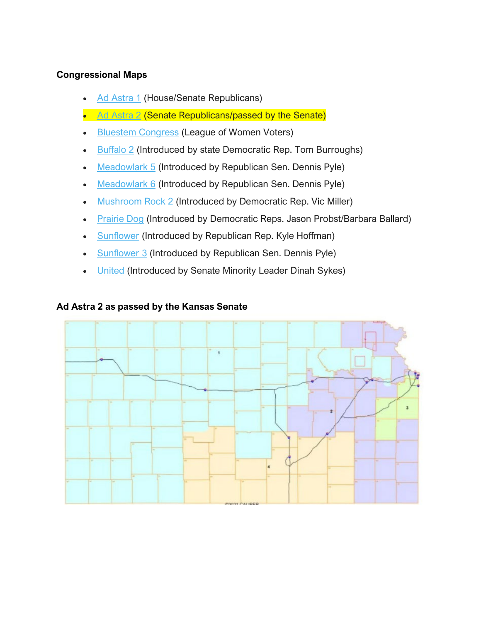# **Congressional Maps**

- [Ad Astra 1](http://www.kslegresearch.org/KLRD-web/Publications/Redistricting/2022-Plans/m3_AdAstra_1-packet.pdf) (House/Senate Republicans)
- [Ad Astra 2](http://www.kslegresearch.org/KLRD-web/Publications/Redistricting/2022-Plans/M3_AdAstra_2-packet.pdf) (Senate Republicans/passed by the Senate)
- [Bluestem Congress](http://www.kslegresearch.org/KLRD-web/Publications/Redistricting/2022-Plans/m5_bluestemcongress-packet.pdf) (League of Women Voters)
- [Buffalo 2](http://www.kslegresearch.org/KLRD-web/Publications/Redistricting/2022-Plans/M1_Buffalo_2-packet.pdf) (Introduced by state Democratic Rep. Tom Burroughs)
- [Meadowlark 5](http://www.kslegresearch.org/KLRD-web/Publications/Redistricting/2022-Plans/M5_Meadowlark_5-packet.pdf) (Introduced by Republican Sen. Dennis Pyle)
- [Meadowlark 6](http://www.kslegresearch.org/KLRD-web/Publications/Redistricting/2022-Plans/M5_Meadowlark_6-Packet.pdf) (Introduced by Republican Sen. Dennis Pyle)
- [Mushroom Rock 2](http://www.kslegresearch.org/KLRD-web/Publications/Redistricting/2022-Plans/M1_MushroomRock_2-packet.pdf) (Introduced by Democratic Rep. Vic Miller)
- [Prairie Dog](http://www.kslegresearch.org/KLRD-web/Publications/Redistricting/2022-Plans/M1_Prairie_Dog-packet.pdf) (Introduced by Democratic Reps. Jason Probst/Barbara Ballard)
- [Sunflower](http://www.kslegresearch.org/KLRD-web/Publications/Redistricting/2022-Plans/M2_Sunflower-packet.pdf) (Introduced by Republican Rep. Kyle Hoffman)
- [Sunflower 3](http://www.kslegresearch.org/KLRD-web/Publications/Redistricting/2022-Plans/M5_Sunflower_3-packet.pdf) (Introduced by Republican Sen. Dennis Pyle)
- **[United](http://www.kslegresearch.org/KLRD-web/Publications/Redistricting/2022-Plans/M4_United-Packet.pdf) (Introduced by Senate Minority Leader Dinah Sykes)**

# **Ad Astra 2 as passed by the Kansas Senate**

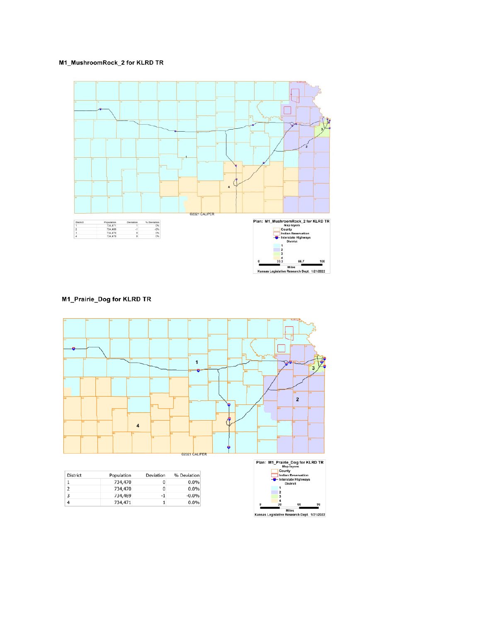#### M1\_MushroomRock\_2 for KLRD TR



M1\_Prairie\_Dog for KLRD TR



| <b>District</b> | Population | Deviation | % Deviation |
|-----------------|------------|-----------|-------------|
|                 | 734,470    | 0         | $0.0\%$     |
|                 | 734,470    | 0         | $0.0\%$     |
| 3               | 734,469    | -1        | $-0.0\%$    |
| 4               | 734,471    |           | 0.0%        |